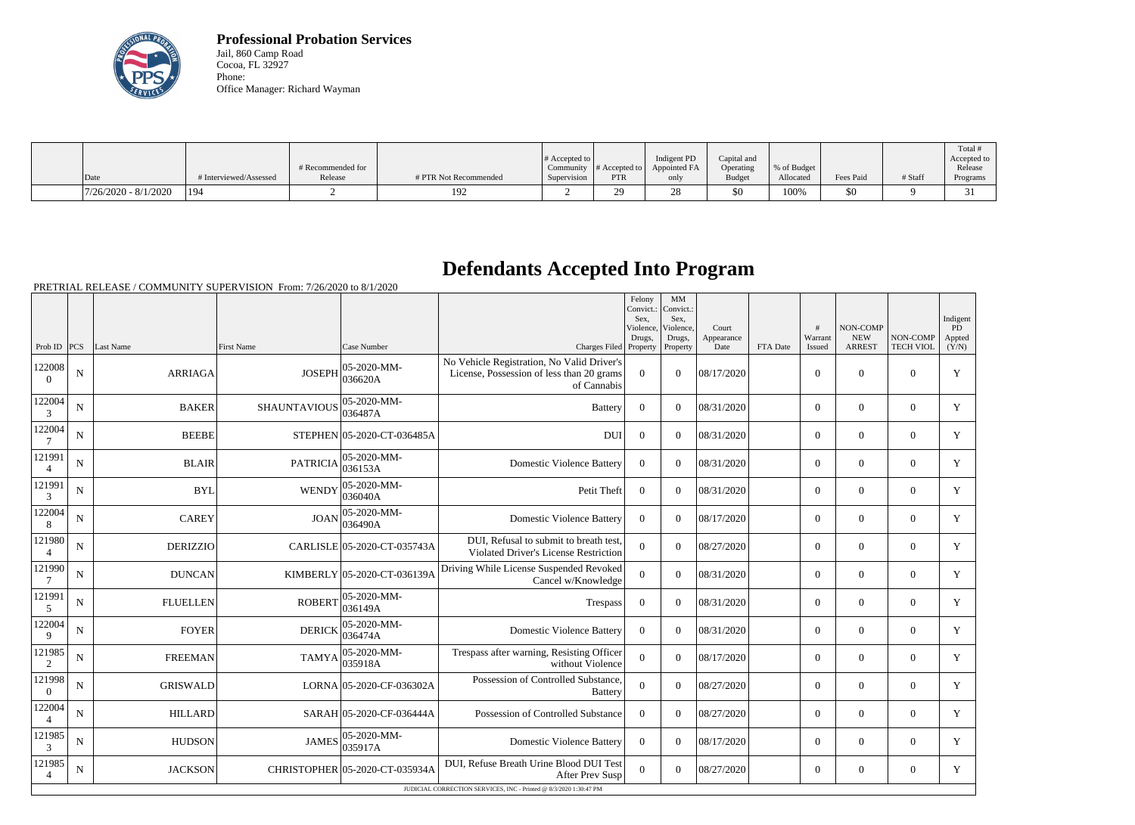

**Professional Probation Services** Jail, 860 Camp Road Cocoa, FL 32927 Phone: Office Manager: Richard Wayman

|                        |                        | # Recommended for |                       | # Accepted to | Community $ #$ Accepted to $ $ | Indigent PD<br>Appointed FA | Capital and<br>Operating | % of Budget |           |         | Total<br>Accepted to<br>Release |
|------------------------|------------------------|-------------------|-----------------------|---------------|--------------------------------|-----------------------------|--------------------------|-------------|-----------|---------|---------------------------------|
| Date                   | # Interviewed/Assessed | Release           | # PTR Not Recommended | Supervision   | <b>PTR</b>                     | only                        | <b>Budget</b>            | Allocated   | Fees Paid | # Staff | Programs                        |
| $7/26/2020 - 8/1/2020$ | 194                    |                   | 192                   |               | nn<br>⊷.                       | $\cap$<br>۷٥                | \$0                      | 100%        | \$0       |         | ັ                               |

## **Defendants Accepted Into Program**

PRETRIAL RELEASE / COMMUNITY SUPERVISION From: 7/26/2020 to 8/1/2020

|                          |                                                                   |                 |                                               |                                |                                                                                                        | Felony<br>Convict.:<br>Sex,<br>Violence.<br>Drugs, | MM<br>Convict.:<br>Sex,<br>Violence,<br>Drugs, | Court<br>Appearance |          | #<br>Warrant   | <b>NON-COMP</b><br><b>NEW</b> | NON-COMP         | Indigent<br><b>PD</b><br>Appted |
|--------------------------|-------------------------------------------------------------------|-----------------|-----------------------------------------------|--------------------------------|--------------------------------------------------------------------------------------------------------|----------------------------------------------------|------------------------------------------------|---------------------|----------|----------------|-------------------------------|------------------|---------------------------------|
| Prob ID $ PCS $          |                                                                   | Last Name       | First Name                                    | Case Number                    | Charges Filed Property                                                                                 |                                                    | Property                                       | Date                | FTA Date | Issued         | <b>ARREST</b>                 | <b>TECH VIOL</b> | (Y/N)                           |
| 122008<br>$\Omega$       | ${\bf N}$                                                         | <b>ARRIAGA</b>  | <b>JOSEPH</b>                                 | 05-2020-MM-<br>036620A         | No Vehicle Registration, No Valid Driver's<br>License, Possession of less than 20 grams<br>of Cannabis | $\overline{0}$                                     | $\Omega$                                       | 08/17/2020          |          | $\mathbf{0}$   | $\theta$                      | $\overline{0}$   | Y                               |
| 122004<br>3              | N                                                                 | <b>BAKER</b>    | 05-2020-MM-<br><b>SHAUNTAVIOUS</b><br>036487A |                                | <b>Battery</b>                                                                                         | $\Omega$                                           | $\Omega$                                       | 08/31/2020          |          | $\overline{0}$ | $\theta$                      | $\Omega$         | Y                               |
| 122004<br>7              | $\mathbf N$                                                       | <b>BEEBE</b>    |                                               | STEPHEN 05-2020-CT-036485A     | <b>DUI</b>                                                                                             | $\overline{0}$                                     | $\Omega$                                       | 08/31/2020          |          | $\overline{0}$ | $\theta$                      | $\overline{0}$   | Y                               |
| 121991<br>$\overline{4}$ | $\mathbf N$                                                       | <b>BLAIR</b>    | <b>PATRICIA</b>                               | 05-2020-MM-<br>036153A         | <b>Domestic Violence Battery</b>                                                                       | $\boldsymbol{0}$                                   | $\Omega$                                       | 08/31/2020          |          | $\overline{0}$ | $\overline{0}$                | $\overline{0}$   | Y                               |
| 121991<br>$\mathfrak{Z}$ | $\mathbf N$                                                       | <b>BYL</b>      | <b>WENDY</b>                                  | 05-2020-MM-<br>036040A         | Petit Theft                                                                                            | $\boldsymbol{0}$                                   | $\Omega$                                       | 08/31/2020          |          | $\overline{0}$ | $\theta$                      | $\Omega$         | Y                               |
| 122004<br>8              | ${\bf N}$                                                         | <b>CAREY</b>    | <b>JOAN</b>                                   | 05-2020-MM-<br>036490A         | <b>Domestic Violence Battery</b>                                                                       | $\overline{0}$                                     | $\Omega$                                       | 08/17/2020          |          | $\overline{0}$ | $\mathbf{0}$                  | $\mathbf{0}$     | Y                               |
| 121980                   | $\mathbf N$                                                       | <b>DERIZZIO</b> |                                               | CARLISLE 05-2020-CT-035743A    | DUI, Refusal to submit to breath test,<br>Violated Driver's License Restriction                        | $\Omega$                                           | $\Omega$                                       | 08/27/2020          |          | $\overline{0}$ | $\theta$                      | $\overline{0}$   | Y                               |
| 121990<br>7              | $\mathbf N$                                                       | <b>DUNCAN</b>   |                                               | KIMBERLY 05-2020-CT-036139A    | Driving While License Suspended Revoked<br>Cancel w/Knowledge                                          | $\overline{0}$                                     | $\Omega$                                       | 08/31/2020          |          | $\overline{0}$ | $\mathbf{0}$                  | $\overline{0}$   | Y                               |
| 121991<br>5              | $\mathbf N$                                                       | <b>FLUELLEN</b> | ROBERT                                        | $ 05 - 2020 - MM -$<br>036149A | Trespass                                                                                               | $\boldsymbol{0}$                                   | $\Omega$                                       | 08/31/2020          |          | $\overline{0}$ | $\mathbf{0}$                  | $\Omega$         | Y                               |
| 122004<br>9              | ${\bf N}$                                                         | <b>FOYER</b>    | <b>DERICK</b>                                 | $ 05 - 2020 - MM -$<br>036474A | <b>Domestic Violence Battery</b>                                                                       | $\mathbf{0}$                                       | $\Omega$                                       | 08/31/2020          |          | $\overline{0}$ | $\theta$                      | $\overline{0}$   | Y                               |
| 121985<br>2              | $\mathbf N$                                                       | <b>FREEMAN</b>  | <b>TAMYA</b>                                  | $ 05 - 2020 - MM -$<br>035918A | Trespass after warning, Resisting Officer<br>without Violence                                          | $\overline{0}$                                     | $\theta$                                       | 08/17/2020          |          | $\overline{0}$ | $\mathbf{0}$                  | $\overline{0}$   | Y                               |
| 121998<br>$\theta$       | N                                                                 | <b>GRISWALD</b> |                                               | LORNA 05-2020-CF-036302A       | Possession of Controlled Substance,<br><b>Battery</b>                                                  | $\overline{0}$                                     | $\Omega$                                       | 08/27/2020          |          | $\overline{0}$ | $\theta$                      | $\overline{0}$   | Y                               |
| 122004<br>$\overline{4}$ | N                                                                 | <b>HILLARD</b>  |                                               | SARAH 05-2020-CF-036444A       | Possession of Controlled Substance                                                                     | $\Omega$                                           | $\Omega$                                       | 08/27/2020          |          | $\Omega$       | $\theta$                      | $\Omega$         | Y                               |
| 121985<br>3              | N                                                                 | <b>HUDSON</b>   | <b>JAMES</b>                                  | $ 05-2020-MM-$<br> 035917A     | <b>Domestic Violence Battery</b>                                                                       | $\Omega$                                           | $\Omega$                                       | 08/17/2020          |          | $\overline{0}$ | $\theta$                      | $\Omega$         | Y                               |
| 121985<br>$\overline{4}$ | ${\bf N}$                                                         | <b>JACKSON</b>  |                                               | CHRISTOPHER 05-2020-CT-035934A | DUI, Refuse Breath Urine Blood DUI Test<br><b>After Prev Susp</b>                                      | $\Omega$                                           | $\Omega$                                       | 08/27/2020          |          | $\overline{0}$ | $\mathbf{0}$                  | $\overline{0}$   | Y                               |
|                          | JUDICIAL CORRECTION SERVICES, INC - Printed @ 8/3/2020 1:30:47 PM |                 |                                               |                                |                                                                                                        |                                                    |                                                |                     |          |                |                               |                  |                                 |